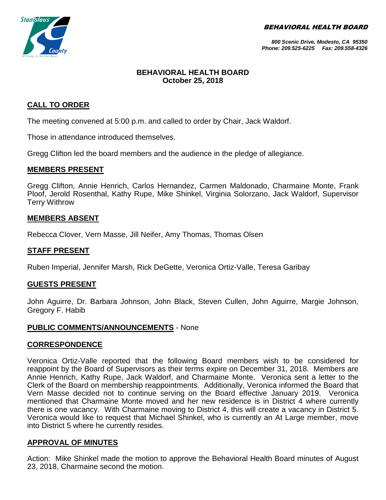BEHAVIORAL HEALTH BOARD



*800 Scenic Drive, Modesto, CA 95350 Phone: 209.525-6225 Fax: 209.558-4326*

# **BEHAVIORAL HEALTH BOARD October 25, 2018**

# **CALL TO ORDER**

The meeting convened at 5:00 p.m. and called to order by Chair, Jack Waldorf.

Those in attendance introduced themselves.

Gregg Clifton led the board members and the audience in the pledge of allegiance.

#### **MEMBERS PRESENT**

Gregg Clifton, Annie Henrich, Carlos Hernandez, Carmen Maldonado, Charmaine Monte, Frank Ploof, Jerold Rosenthal, Kathy Rupe, Mike Shinkel, Virginia Solorzano, Jack Waldorf, Supervisor Terry Withrow

## **MEMBERS ABSENT**

Rebecca Clover, Vern Masse, Jill Neifer, Amy Thomas, Thomas Olsen

#### **STAFF PRESENT**

Ruben Imperial, Jennifer Marsh, Rick DeGette, Veronica Ortiz-Valle, Teresa Garibay

#### **GUESTS PRESENT**

John Aguirre, Dr. Barbara Johnson, John Black, Steven Cullen, John Aguirre, Margie Johnson, Gregory F. Habib

#### **PUBLIC COMMENTS/ANNOUNCEMENTS** - None

#### **CORRESPONDENCE**

Veronica Ortiz-Valle reported that the following Board members wish to be considered for reappoint by the Board of Supervisors as their terms expire on December 31, 2018. Members are Annie Henrich, Kathy Rupe, Jack Waldorf, and Charmaine Monte. Veronica sent a letter to the Clerk of the Board on membership reappointments. Additionally, Veronica informed the Board that Vern Masse decided not to continue serving on the Board effective January 2019. Veronica mentioned that Charmaine Monte moved and her new residence is in District 4 where currently there is one vacancy. With Charmaine moving to District 4, this will create a vacancy in District 5. Veronica would like to request that Michael Shinkel, who is currently an At Large member, move into District 5 where he currently resides.

## **APPROVAL OF MINUTES**

Action: Mike Shinkel made the motion to approve the Behavioral Health Board minutes of August 23, 2018, Charmaine second the motion.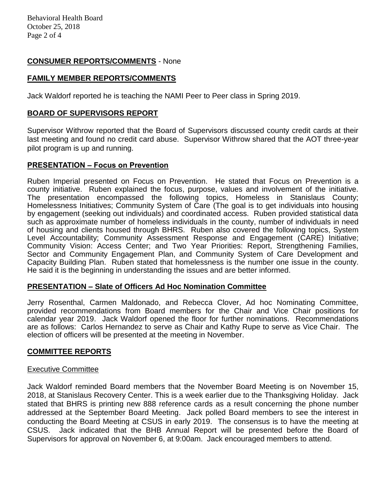Behavioral Health Board October 25, 2018 Page 2 of 4

# **CONSUMER REPORTS/COMMENTS** - None

# **FAMILY MEMBER REPORTS/COMMENTS**

Jack Waldorf reported he is teaching the NAMI Peer to Peer class in Spring 2019.

## **BOARD OF SUPERVISORS REPORT**

Supervisor Withrow reported that the Board of Supervisors discussed county credit cards at their last meeting and found no credit card abuse. Supervisor Withrow shared that the AOT three-year pilot program is up and running.

## **PRESENTATION – Focus on Prevention**

Ruben Imperial presented on Focus on Prevention. He stated that Focus on Prevention is a county initiative. Ruben explained the focus, purpose, values and involvement of the initiative. The presentation encompassed the following topics, Homeless in Stanislaus County; Homelessness Initiatives; Community System of Care (The goal is to get individuals into housing by engagement (seeking out individuals) and coordinated access. Ruben provided statistical data such as approximate number of homeless individuals in the county, number of individuals in need of housing and clients housed through BHRS. Ruben also covered the following topics, System Level Accountability; Community Assessment Response and Engagement (CARE) Initiative; Community Vision: Access Center; and Two Year Priorities: Report, Strengthening Families, Sector and Community Engagement Plan, and Community System of Care Development and Capacity Building Plan. Ruben stated that homelessness is the number one issue in the county. He said it is the beginning in understanding the issues and are better informed.

## **PRESENTATION – Slate of Officers Ad Hoc Nomination Committee**

Jerry Rosenthal, Carmen Maldonado, and Rebecca Clover, Ad hoc Nominating Committee, provided recommendations from Board members for the Chair and Vice Chair positions for calendar year 2019. Jack Waldorf opened the floor for further nominations. Recommendations are as follows: Carlos Hernandez to serve as Chair and Kathy Rupe to serve as Vice Chair. The election of officers will be presented at the meeting in November.

## **COMMITTEE REPORTS**

#### Executive Committee

Jack Waldorf reminded Board members that the November Board Meeting is on November 15, 2018, at Stanislaus Recovery Center. This is a week earlier due to the Thanksgiving Holiday. Jack stated that BHRS is printing new 888 reference cards as a result concerning the phone number addressed at the September Board Meeting. Jack polled Board members to see the interest in conducting the Board Meeting at CSUS in early 2019. The consensus is to have the meeting at CSUS. Jack indicated that the BHB Annual Report will be presented before the Board of Supervisors for approval on November 6, at 9:00am. Jack encouraged members to attend.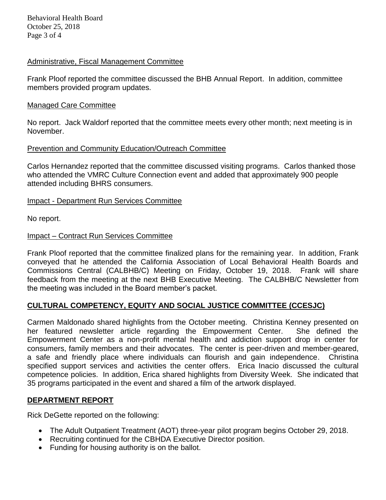Behavioral Health Board October 25, 2018 Page 3 of 4

## Administrative, Fiscal Management Committee

Frank Ploof reported the committee discussed the BHB Annual Report. In addition, committee members provided program updates.

#### Managed Care Committee

No report. Jack Waldorf reported that the committee meets every other month; next meeting is in November.

#### Prevention and Community Education/Outreach Committee

Carlos Hernandez reported that the committee discussed visiting programs. Carlos thanked those who attended the VMRC Culture Connection event and added that approximately 900 people attended including BHRS consumers.

#### Impact - Department Run Services Committee

No report.

#### Impact – Contract Run Services Committee

Frank Ploof reported that the committee finalized plans for the remaining year. In addition, Frank conveyed that he attended the California Association of Local Behavioral Health Boards and Commissions Central (CALBHB/C) Meeting on Friday, October 19, 2018. Frank will share feedback from the meeting at the next BHB Executive Meeting. The CALBHB/C Newsletter from the meeting was included in the Board member's packet.

## **CULTURAL COMPETENCY, EQUITY AND SOCIAL JUSTICE COMMITTEE (CCESJC)**

Carmen Maldonado shared highlights from the October meeting. Christina Kenney presented on her featured newsletter article regarding the Empowerment Center. She defined the Empowerment Center as a non-profit mental health and addiction support drop in center for consumers, family members and their advocates. The center is peer-driven and member-geared, a safe and friendly place where individuals can flourish and gain independence. Christina specified support services and activities the center offers. Erica Inacio discussed the cultural competence policies. In addition, Erica shared highlights from Diversity Week. She indicated that 35 programs participated in the event and shared a film of the artwork displayed.

## **DEPARTMENT REPORT**

Rick DeGette reported on the following:

- The Adult Outpatient Treatment (AOT) three-year pilot program begins October 29, 2018.
- Recruiting continued for the CBHDA Executive Director position.
- Funding for housing authority is on the ballot.